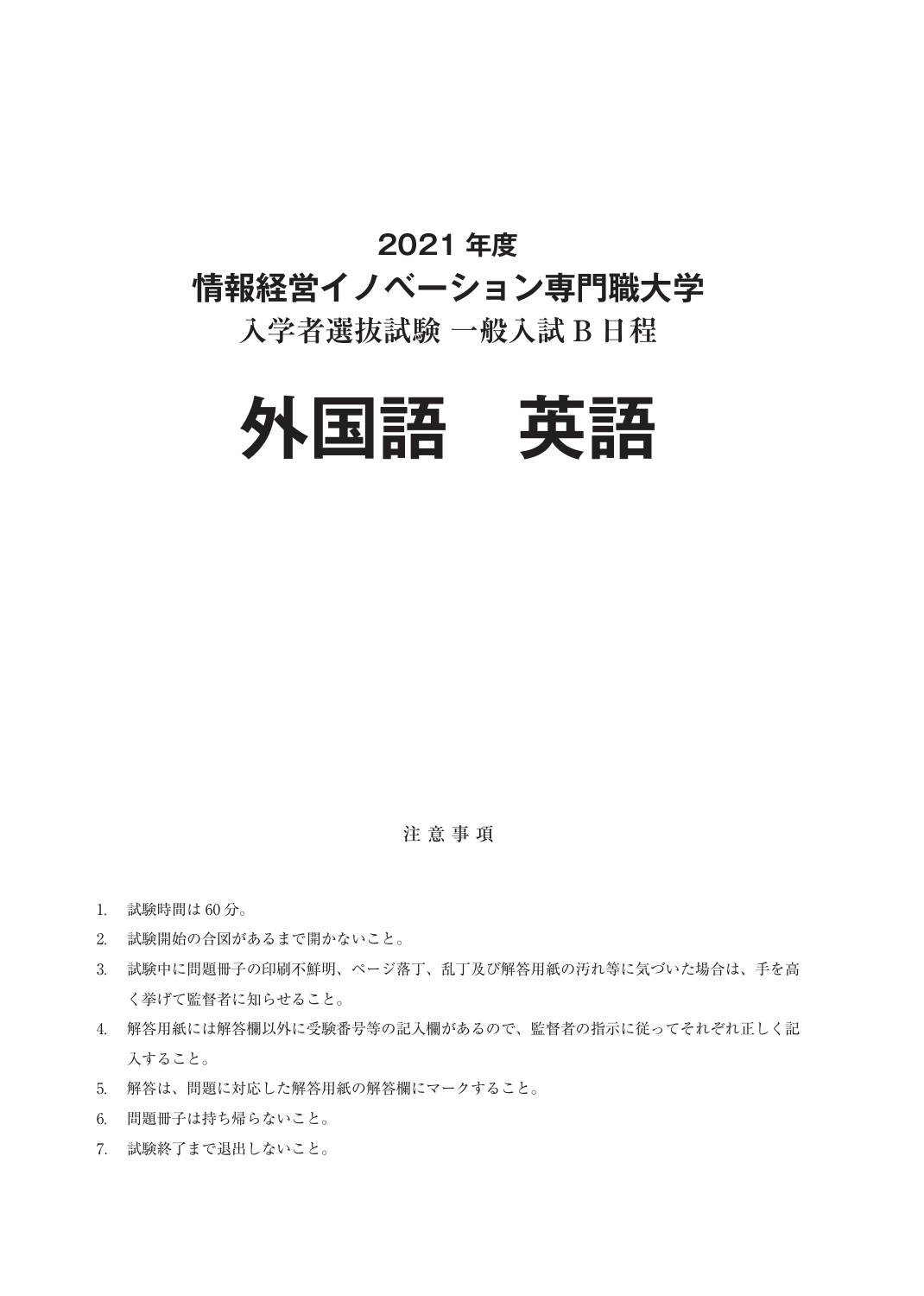### **2021 年度**

# **情報経営イノベーション専門職大学**

## **入学者選抜試験 一般入試 B 日程**



注 意 事 項

- 1. 試験時間は 60 分。
- 2. 試験開始の合図があるまで開かないこと。
- 3. 試験中に問題冊子の印刷不鮮明、ページ落丁、乱丁及び解答用紙の汚れ等に気づいた場合は、手を高 く挙げて監督者に知らせること。
- 4. 解答用紙には解答欄以外に受験番号等の記入欄があるので、監督者の指示に従ってそれぞれ正しく記 入すること。
- 5. 解答は、問題に対応した解答用紙の解答欄にマークすること。
- 6. 問題冊子は持ち帰らないこと。
- 7. 試験終了まで退出しないこと。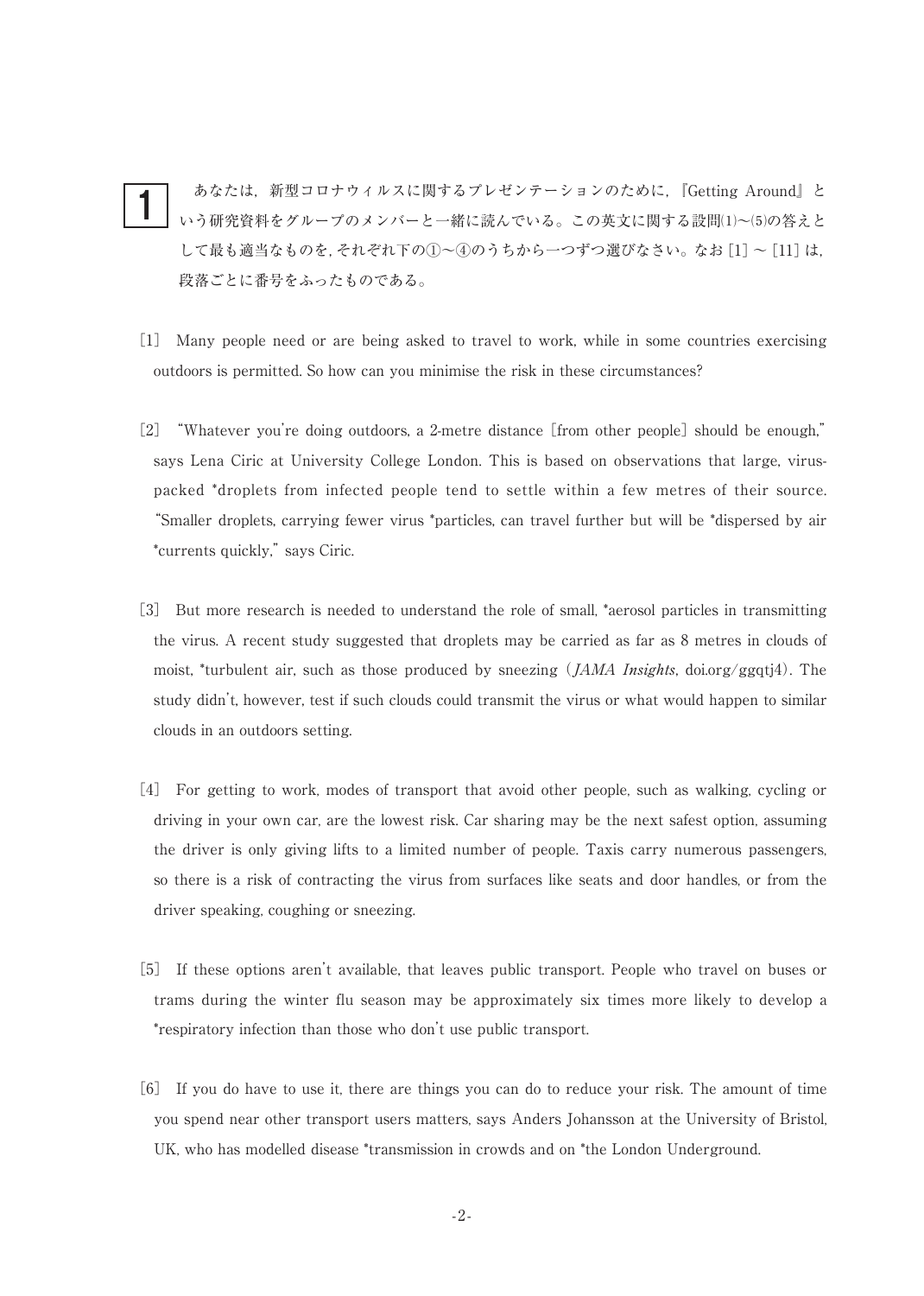あなたは,新型コロナウィルスに関するプレゼンテーションのために,『Getting Around』と いう研究資料をグループのメンバーと一緒に読んでいる。この英文に関する設問(1)~(5)の答えと して最も適当なものを,それぞれ下の①~④のうちから一つずつ選びなさい。なお [1] ~ [11] は, 段落ごとに番号をふったものである。 1

- [1] Many people need or are being asked to travel to work, while in some countries exercising outdoors is permitted. So how can you minimise the risk in these circumstances?
- [2] "Whatever you're doing outdoors, a 2-metre distance [from other people] should be enough," says Lena Ciric at University College London. This is based on observations that large, viruspacked \*droplets from infected people tend to settle within a few metres of their source. "Smaller droplets, carrying fewer virus \*particles, can travel further but will be \*dispersed by air \*currents quickly,"says Ciric.
- [3] But more research is needed to understand the role of small, \*aerosol particles in transmitting the virus. A recent study suggested that droplets may be carried as far as 8 metres in clouds of moist, \*turbulent air, such as those produced by sneezing  $(JAMA\text{~}Insights,$  doi.org/ggqtj4). The study didn't, however, test if such clouds could transmit the virus or what would happen to similar clouds in an outdoors setting.
- [4] For getting to work, modes of transport that avoid other people, such as walking, cycling or driving in your own car, are the lowest risk. Car sharing may be the next safest option, assuming the driver is only giving lifts to a limited number of people. Taxis carry numerous passengers, so there is a risk of contracting the virus from surfaces like seats and door handles, or from the driver speaking, coughing or sneezing.
- [5] If these options aren't available, that leaves public transport. People who travel on buses or trams during the winter flu season may be approximately six times more likely to develop a \*respiratory infection than those who don't use public transport.
- [6] If you do have to use it, there are things you can do to reduce your risk. The amount of time you spend near other transport users matters, says Anders Johansson at the University of Bristol, UK, who has modelled disease \*transmission in crowds and on \*the London Underground.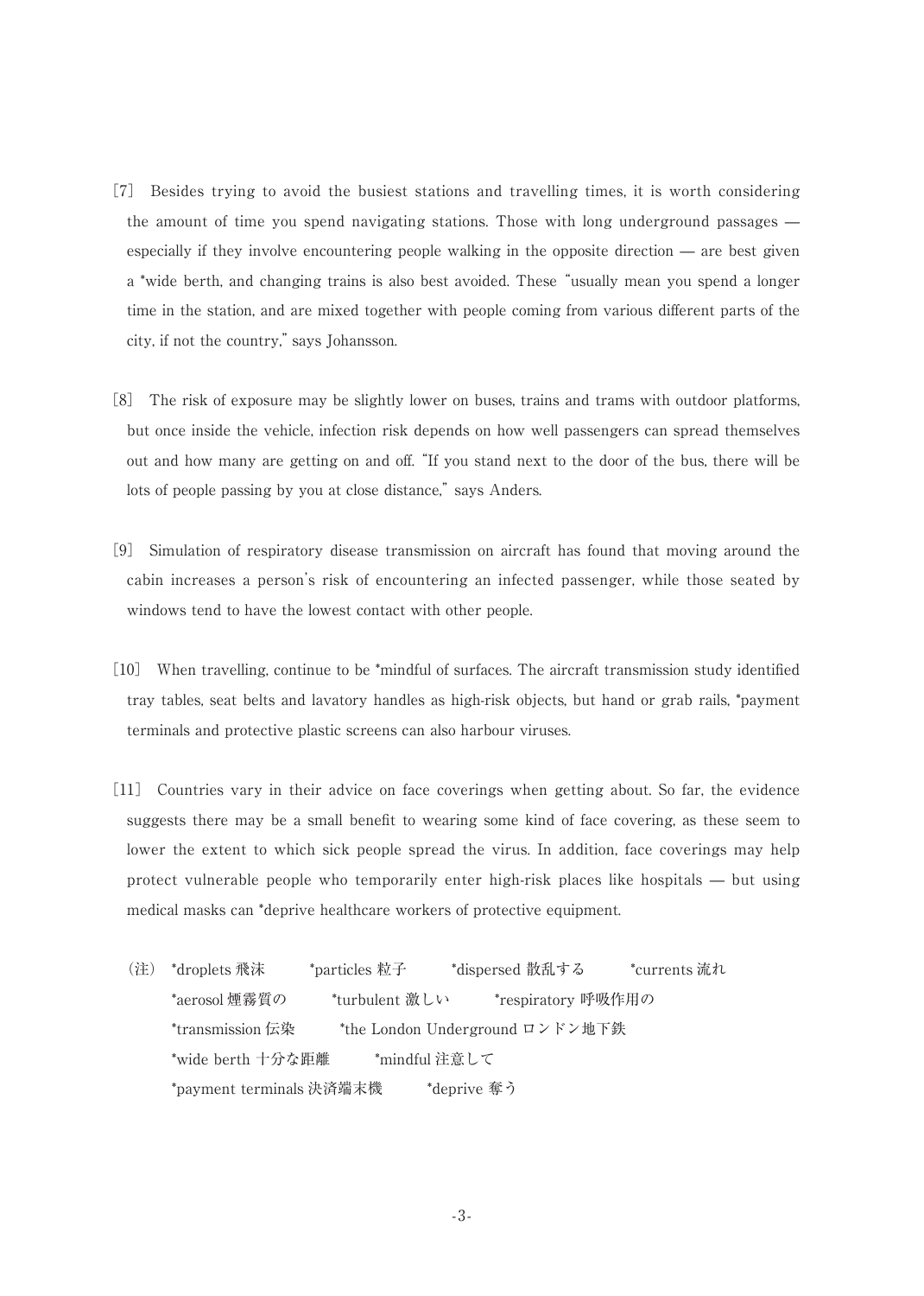- [7] Besides trying to avoid the busiest stations and travelling times, it is worth considering the amount of time you spend navigating stations. Those with long underground passages especially if they involve encountering people walking in the opposite direction — are best given a \*wide berth, and changing trains is also best avoided. These"usually mean you spend a longer time in the station, and are mixed together with people coming from various different parts of the city, if not the country,"says Johansson.
- [8] The risk of exposure may be slightly lower on buses, trains and trams with outdoor platforms, but once inside the vehicle, infection risk depends on how well passengers can spread themselves out and how many are getting on and off."If you stand next to the door of the bus, there will be lots of people passing by you at close distance," says Anders.
- [9] Simulation of respiratory disease transmission on aircraft has found that moving around the cabin increases a person's risk of encountering an infected passenger, while those seated by windows tend to have the lowest contact with other people.
- [10] When travelling, continue to be \*mindful of surfaces. The aircraft transmission study identified tray tables, seat belts and lavatory handles as high-risk objects, but hand or grab rails, \*payment terminals and protective plastic screens can also harbour viruses.
- [11] Countries vary in their advice on face coverings when getting about. So far, the evidence suggests there may be a small benefit to wearing some kind of face covering, as these seem to lower the extent to which sick people spread the virus. In addition, face coverings may help protect vulnerable people who temporarily enter high-risk places like hospitals — but using medical masks can \*deprive healthcare workers of protective equipment.
	- (注) \*droplets 飛沫 \*particles 粒子 \*dispersed 散乱する \*currents 流れ \*aerosol 煙霧質の \*turbulent 激しい \*respiratory 呼吸作用の \*transmission 伝染 \*the London Underground ロンドン地下鉄 \*wide berth 十分な距離 \*mindful 注意して \*payment terminals 決済端末機 \*deprive 奪う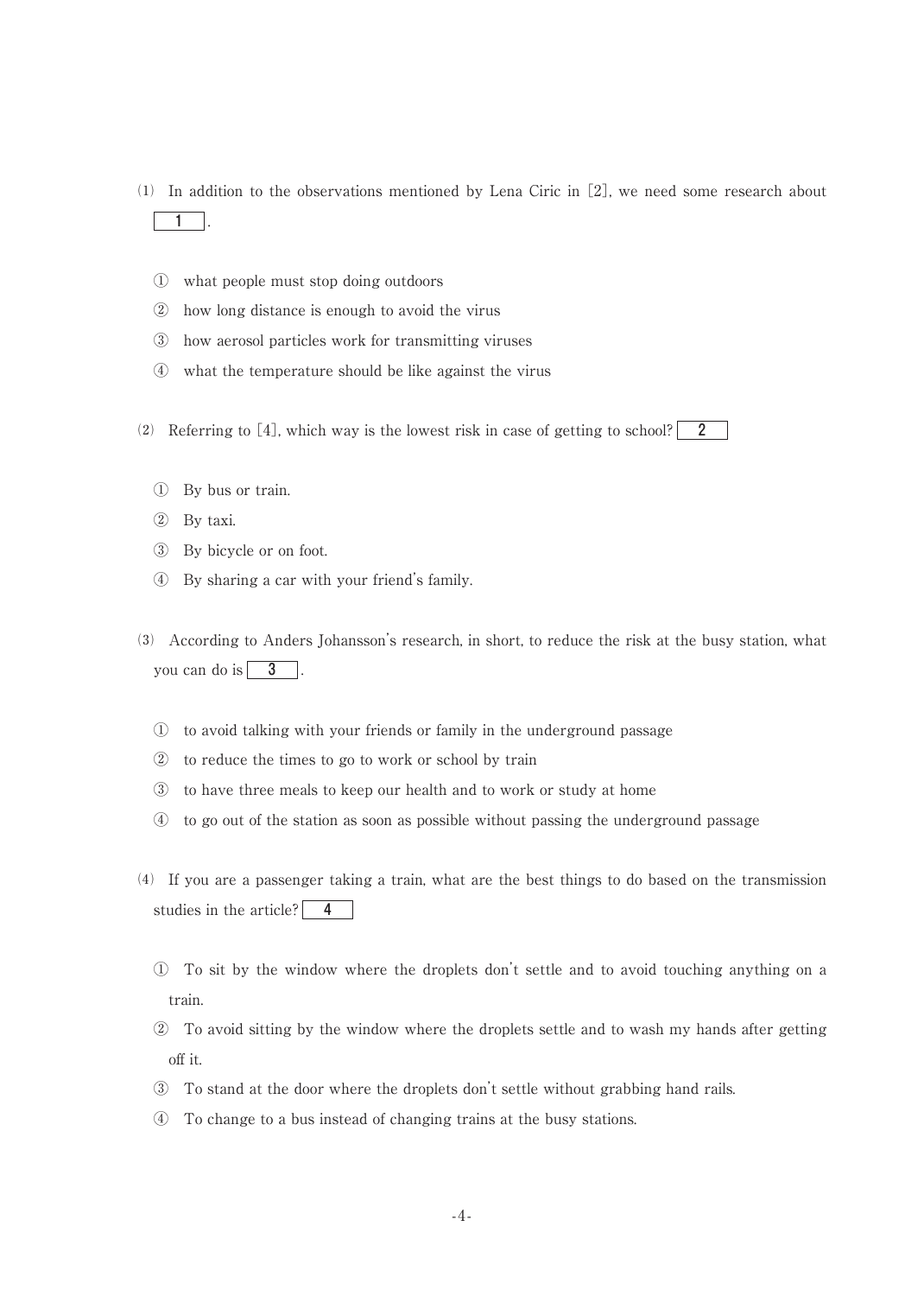- ⑴ In addition to the observations mentioned by Lena Ciric in[2], we need some research about 1 .
	- ① what people must stop doing outdoors
	- ② how long distance is enough to avoid the virus
	- ③ how aerosol particles work for transmitting viruses
	- ④ what the temperature should be like against the virus
- (2) Referring to [4], which way is the lowest risk in case of getting to school? 2
	- ① By bus or train.
	- ② By taxi.
	- ③ By bicycle or on foot.
	- ④ By sharing a car with your friend's family.
- ⑶ According to Anders Johansson's research, in short, to reduce the risk at the busy station, what you can do is  $\boxed{3}$ .
	- ① to avoid talking with your friends or family in the underground passage
	- ② to reduce the times to go to work or school by train
	- ③ to have three meals to keep our health and to work or study at home
	- ④ to go out of the station as soon as possible without passing the underground passage
- ⑷ If you are a passenger taking a train, what are the best things to do based on the transmission studies in the article?  $\boxed{4}$ 
	- ① To sit by the window where the droplets don't settle and to avoid touching anything on a train.
	- ② To avoid sitting by the window where the droplets settle and to wash my hands after getting off it.
	- ③ To stand at the door where the droplets don't settle without grabbing hand rails.
	- ④ To change to a bus instead of changing trains at the busy stations.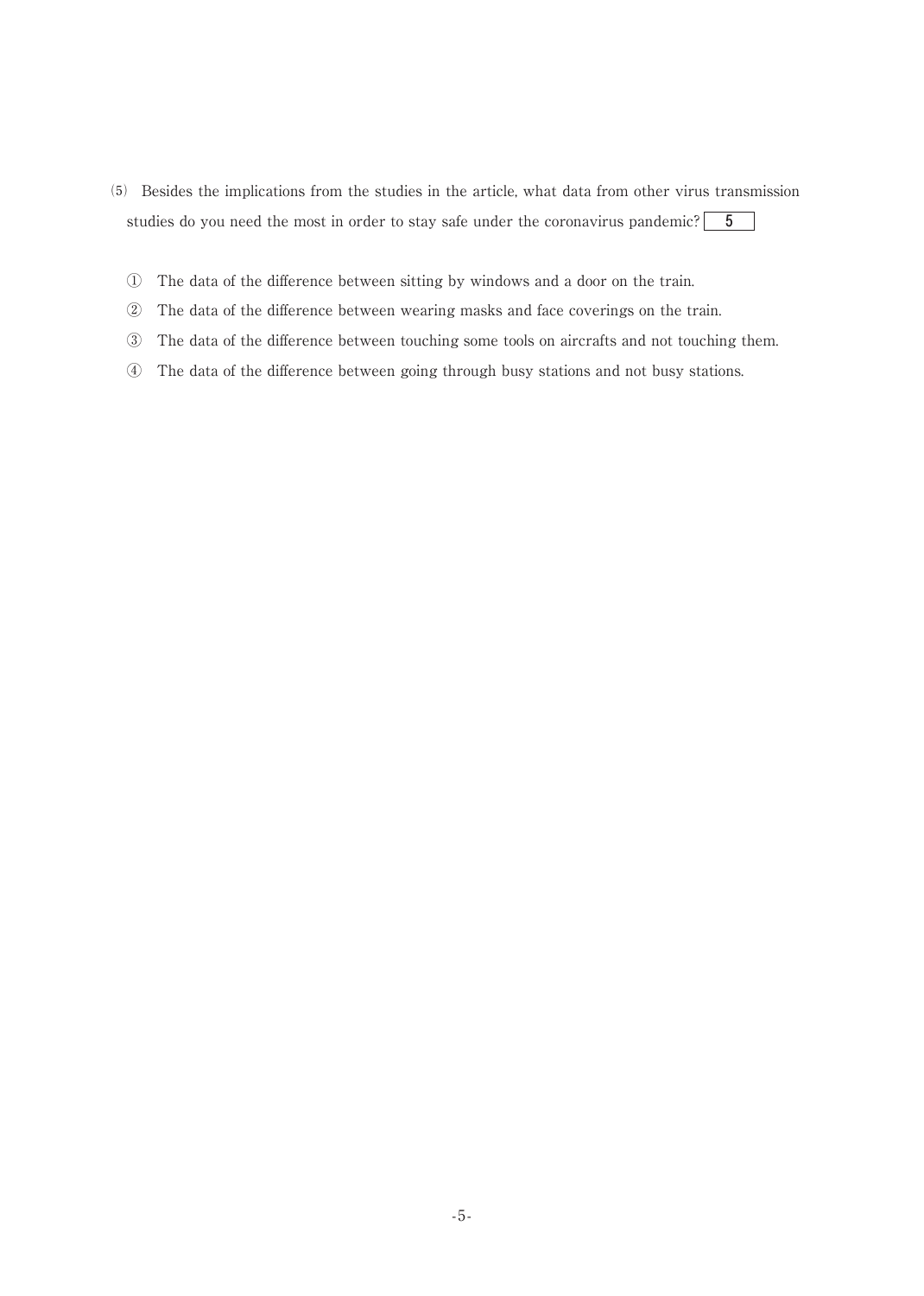- ⑸ Besides the implications from the studies in the article, what data from other virus transmission studies do you need the most in order to stay safe under the coronavirus pandemic?  $\begin{bmatrix} 5 \\ 7 \end{bmatrix}$ 
	- ① The data of the difference between sitting by windows and a door on the train.
	- ② The data of the difference between wearing masks and face coverings on the train.
	- ③ The data of the difference between touching some tools on aircrafts and not touching them.
	- ④ The data of the difference between going through busy stations and not busy stations.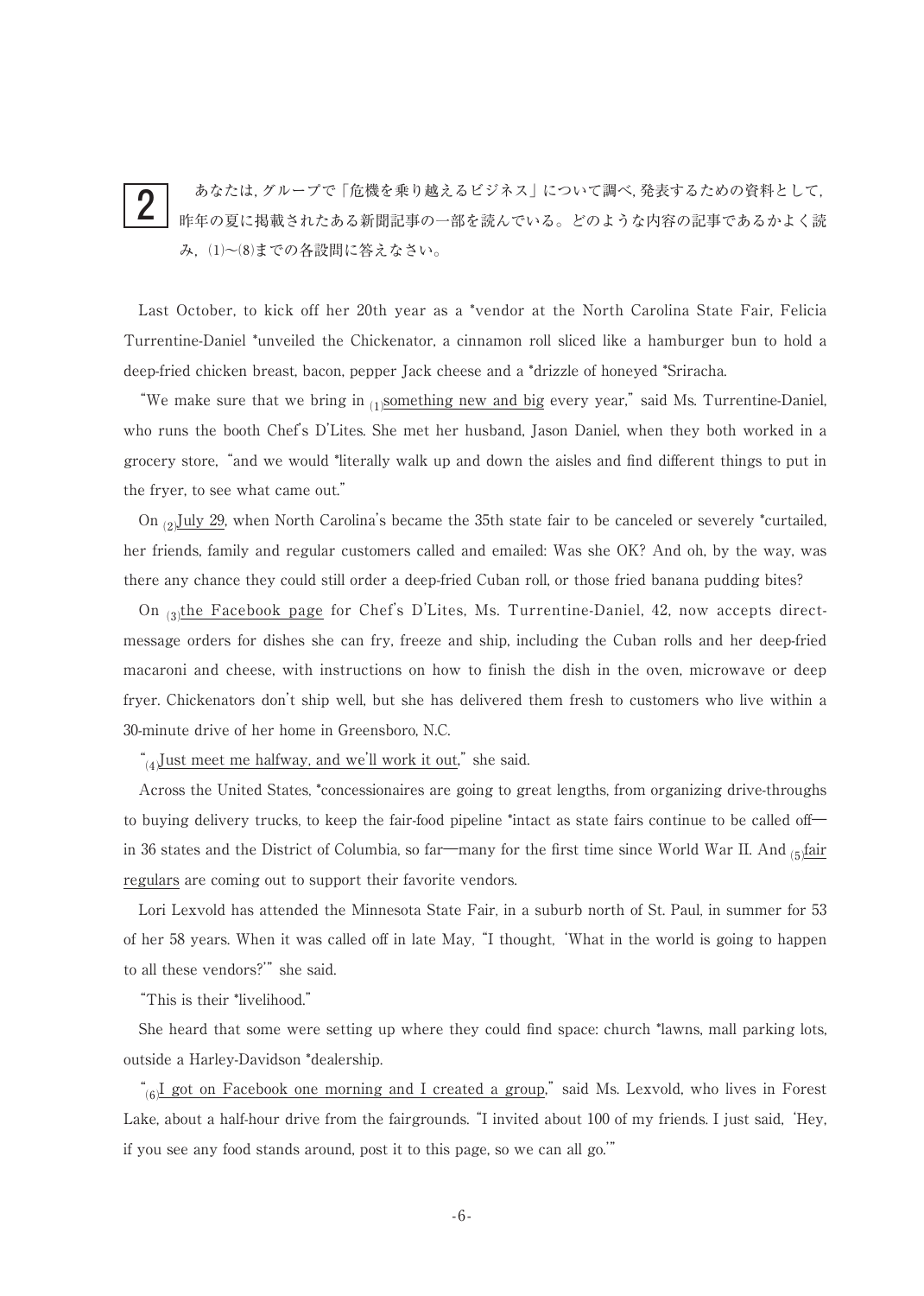#### あなたは,グループで「危機を乗り越えるビジネス」について調べ,発表するための資料として, 昨年の夏に掲載されたある新聞記事の一部を読んでいる。どのような内容の記事であるかよく読 み,⑴~⑻までの各設問に答えなさい。 2

Last October, to kick off her 20th year as a \*vendor at the North Carolina State Fair, Felicia Turrentine-Daniel \*unveiled the Chickenator, a cinnamon roll sliced like a hamburger bun to hold a deep-fried chicken breast, bacon, pepper Jack cheese and a \*drizzle of honeyed \*Sriracha.

"We make sure that we bring in  $_{(1)}$  something new and big every year," said Ms. Turrentine-Daniel, who runs the booth Chef's D'Lites. She met her husband, Jason Daniel, when they both worked in a grocery store,"and we would \*literally walk up and down the aisles and find different things to put in the fryer, to see what came out."

On  $_{(2)}$ July 29, when North Carolina's became the 35th state fair to be canceled or severely \*curtailed, her friends, family and regular customers called and emailed: Was she OK? And oh, by the way, was there any chance they could still order a deep-fried Cuban roll, or those fried banana pudding bites?

On  $_{(3)}$ the Facebook page for Chef's D'Lites, Ms. Turrentine-Daniel, 42, now accepts directmessage orders for dishes she can fry, freeze and ship, including the Cuban rolls and her deep-fried macaroni and cheese, with instructions on how to finish the dish in the oven, microwave or deep fryer. Chickenators don't ship well, but she has delivered them fresh to customers who live within a 30-minute drive of her home in Greensboro, N.C.

" $\mu$ Just meet me halfway, and we'll work it out," she said.

Across the United States, \*concessionaires are going to great lengths, from organizing drive-throughs to buying delivery trucks, to keep the fair-food pipeline \*intact as state fairs continue to be called off― in 36 states and the District of Columbia, so far—many for the first time since World War II. And  $_{(5)}$  fair regulars are coming out to support their favorite vendors.

Lori Lexvold has attended the Minnesota State Fair, in a suburb north of St. Paul, in summer for 53 of her 58 years. When it was called off in late May,"I thought,'What in the world is going to happen to all these vendors?" she said.

"This is their \*livelihood."

She heard that some were setting up where they could find space: church \*lawns, mall parking lots, outside a Harley-Davidson \*dealership.

" $_{69}$ I got on Facebook one morning and I created a group," said Ms. Lexvold, who lives in Forest Lake, about a half-hour drive from the fairgrounds. "I invited about 100 of my friends. I just said, 'Hey, if you see any food stands around, post it to this page, so we can all go.'"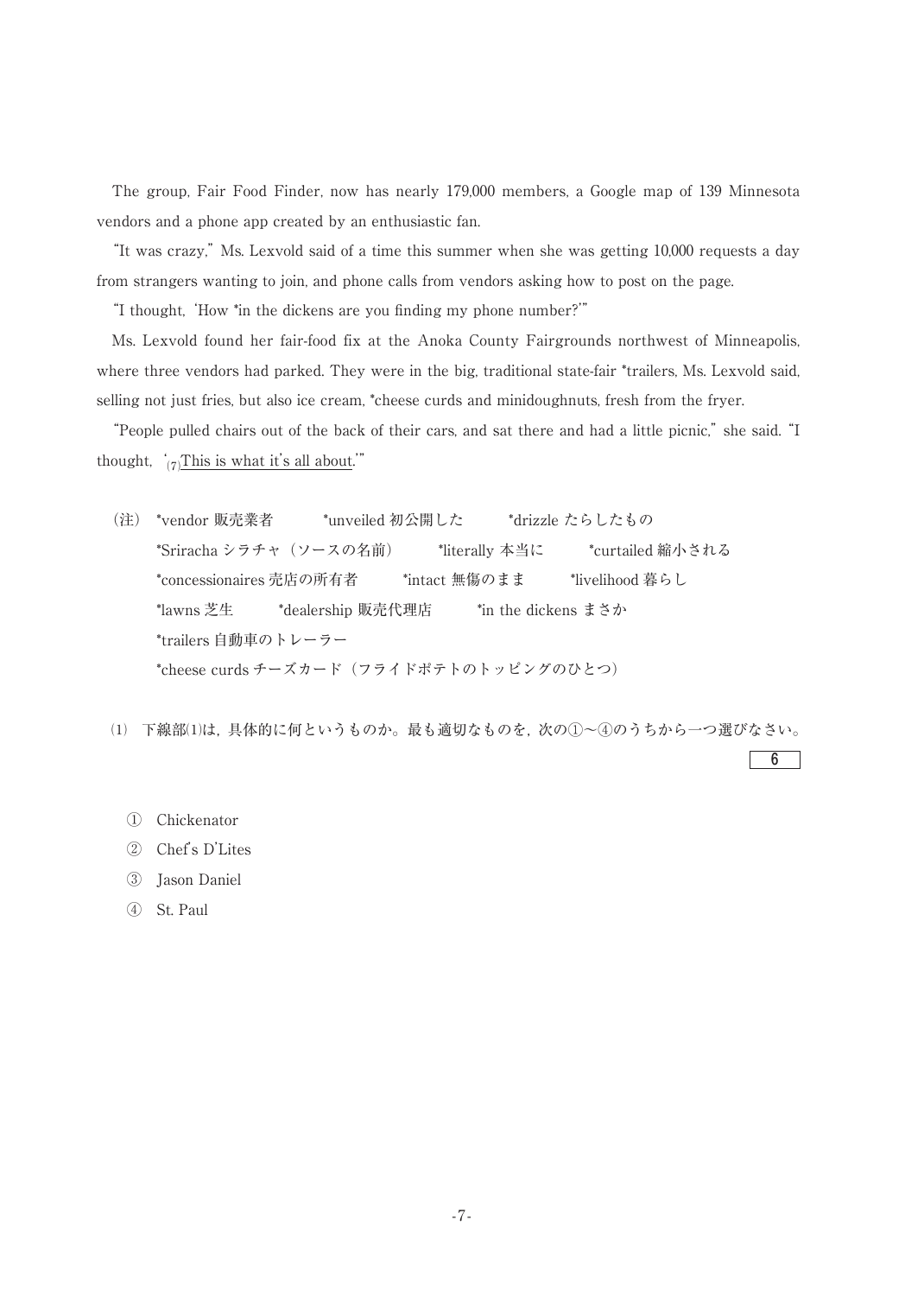The group, Fair Food Finder, now has nearly 179,000 members, a Google map of 139 Minnesota vendors and a phone app created by an enthusiastic fan.

"It was crazy,"Ms. Lexvold said of a time this summer when she was getting 10,000 requests a day from strangers wanting to join, and phone calls from vendors asking how to post on the page.

"I thought, 'How \*in the dickens are you finding my phone number?'"

Ms. Lexvold found her fair-food fix at the Anoka County Fairgrounds northwest of Minneapolis, where three vendors had parked. They were in the big, traditional state-fair \*trailers, Ms. Lexvold said, selling not just fries, but also ice cream, \*cheese curds and minidoughnuts, fresh from the fryer.

"People pulled chairs out of the back of their cars, and sat there and had a little picnic,"she said."I thought,  $\frac{'}{(7)}$ This is what it's all about."

(注) \*vendor 販売業者 \*unveiled 初公開した \*drizzle たらしたもの \*Sriracha シラチャ(ソースの名前) \*literally 本当に \*curtailed 縮小される \*concessionaires 売店の所有者 \*intact 無傷のまま \*livelihood 暮らし \*lawns 芝生 \*dealership 販売代理店 \*in the dickens まさか \*trailers 自動車のトレーラー \*cheese curds チーズカード(フライドポテトのトッピングのひとつ)

⑴ 下線部⑴は,具体的に何というものか。最も適切なものを,次の①~④のうちから一つ選びなさい。

6

- ① Chickenator
- ② Chef's D'Lites
- ③ Jason Daniel
- ④ St. Paul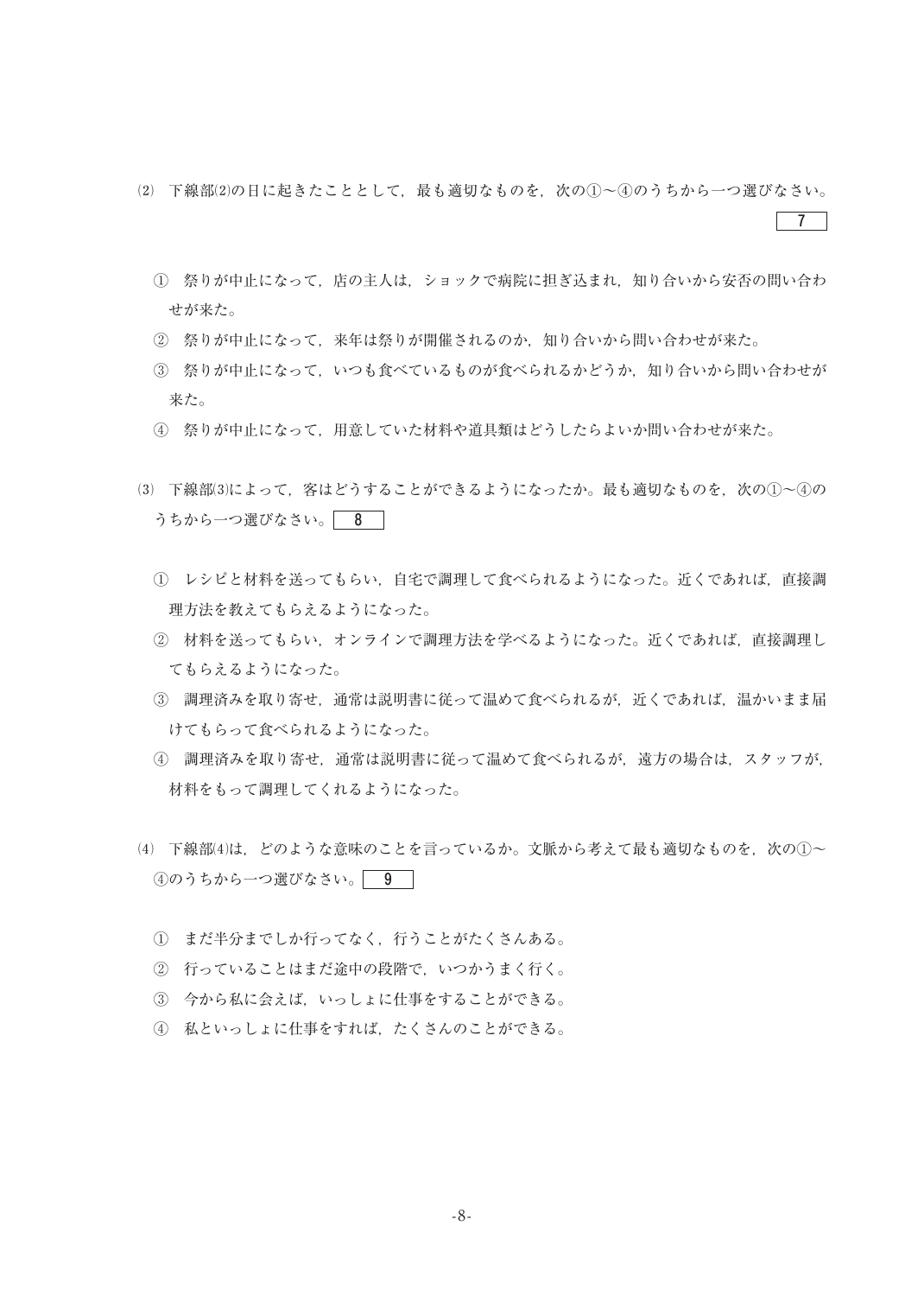⑵ 下線部⑵の日に起きたこととして,最も適切なものを,次の①~④のうちから一つ選びなさい。

 $|7|$ 

- ① 祭りが中止になって,店の主人は,ショックで病院に担ぎ込まれ,知り合いから安否の問い合わ せが来た。
- ② 祭りが中止になって,来年は祭りが開催されるのか,知り合いから問い合わせが来た。
- ③ 祭りが中止になって,いつも食べているものが食べられるかどうか,知り合いから問い合わせが 来た。
- ④ 祭りが中止になって,用意していた材料や道具類はどうしたらよいか問い合わせが来た。
- ⑶ 下線部⑶によって,客はどうすることができるようになったか。最も適切なものを,次の①~④の うちから一つ選びなさい。 8
	- ① レシピと材料を送ってもらい,自宅で調理して食べられるようになった。近くであれば,直接調 理方法を教えてもらえるようになった。
	- ② 材料を送ってもらい,オンラインで調理方法を学べるようになった。近くであれば,直接調理し てもらえるようになった。
	- ③ 調理済みを取り寄せ,通常は説明書に従って温めて食べられるが,近くであれば,温かいまま届 けてもらって食べられるようになった。
	- ④ 調理済みを取り寄せ,通常は説明書に従って温めて食べられるが,遠方の場合は,スタッフが, 材料をもって調理してくれるようになった。
- (4) 下線部(4)は、どのような意味のことを言っているか。文脈から考えて最も適切なものを、次の①~ 4のうちから一つ選びなさい。 9
	- ① まだ半分までしか行ってなく,行うことがたくさんある。
	- ② 行っていることはまだ途中の段階で,いつかうまく行く。
	- ③ 今から私に会えば,いっしょに仕事をすることができる。
	- ④ 私といっしょに仕事をすれば,たくさんのことができる。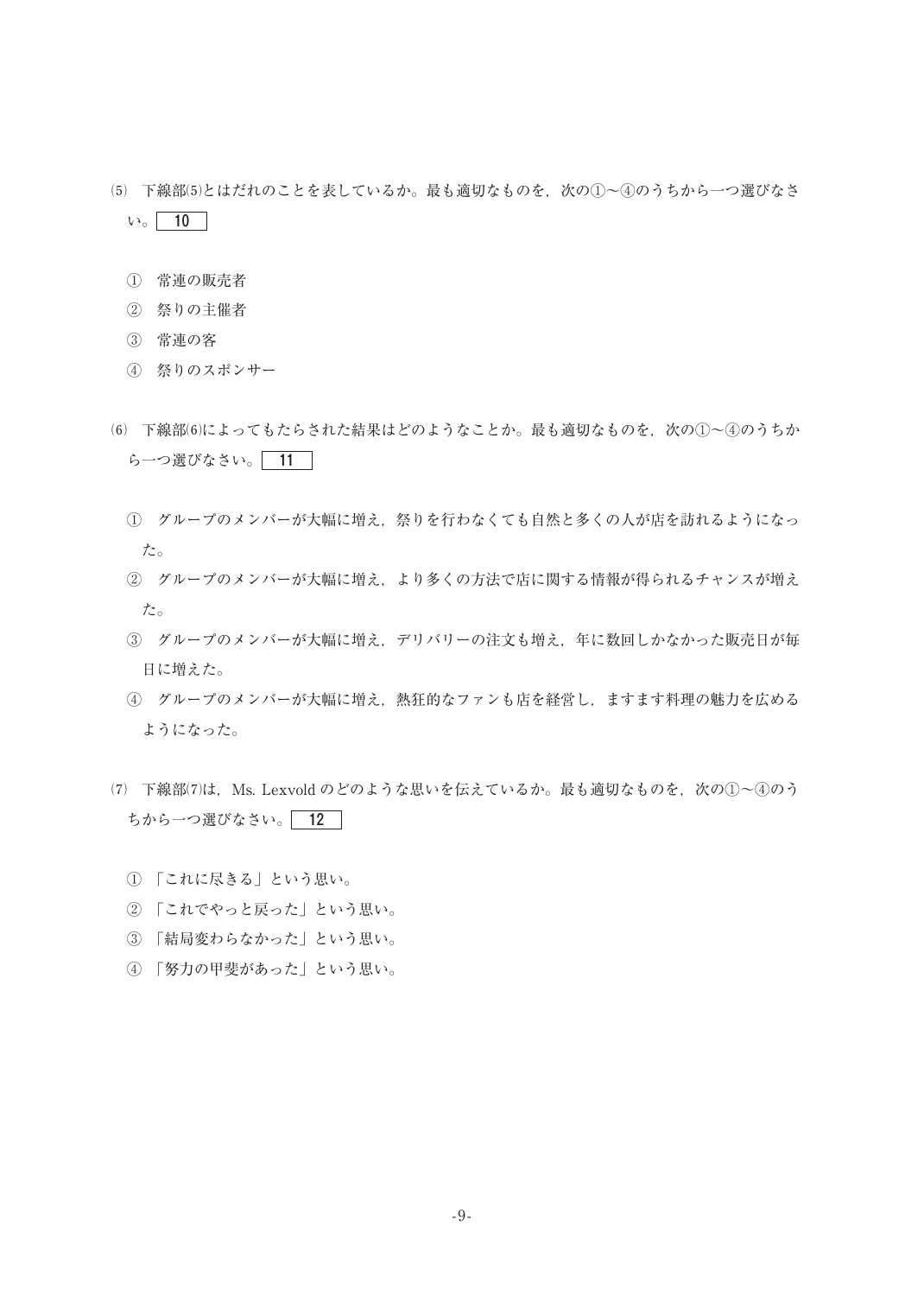- ⑸ 下線部⑸とはだれのことを表しているか。最も適切なものを,次の①~④のうちから一つ選びなさ  $V_0$  10
	- ① 常連の販売者
	- ② 祭りの主催者
	- ③ 常連の客
	- ④ 祭りのスポンサー
- ⑹ 下線部⑹によってもたらされた結果はどのようなことか。最も適切なものを,次の①~④のうちか ら一つ選びなさい。 11
	- ① グループのメンバーが大幅に増え,祭りを行わなくても自然と多くの人が店を訪れるようになっ た。
	- ② グループのメンバーが大幅に増え,より多くの方法で店に関する情報が得られるチャンスが増え た。
	- ③ グループのメンバーが大幅に増え,デリバリーの注文も増え,年に数回しかなかった販売日が毎 日に増えた。
	- ④ グループのメンバーが大幅に増え,熱狂的なファンも店を経営し,ますます料理の魅力を広める ようになった。
- $(7)$  下線部 $(7)$ は、Ms. Lexvold のどのような思いを伝えているか。最も適切なものを、次の①~④のう ちから一つ選びなさい。 12
	- ① 「これに尽きる」という思い。
	- ② 「これでやっと戻った」という思い。
	- ③ 「結局変わらなかった」という思い。
	- ④ 「努力の甲斐があった」という思い。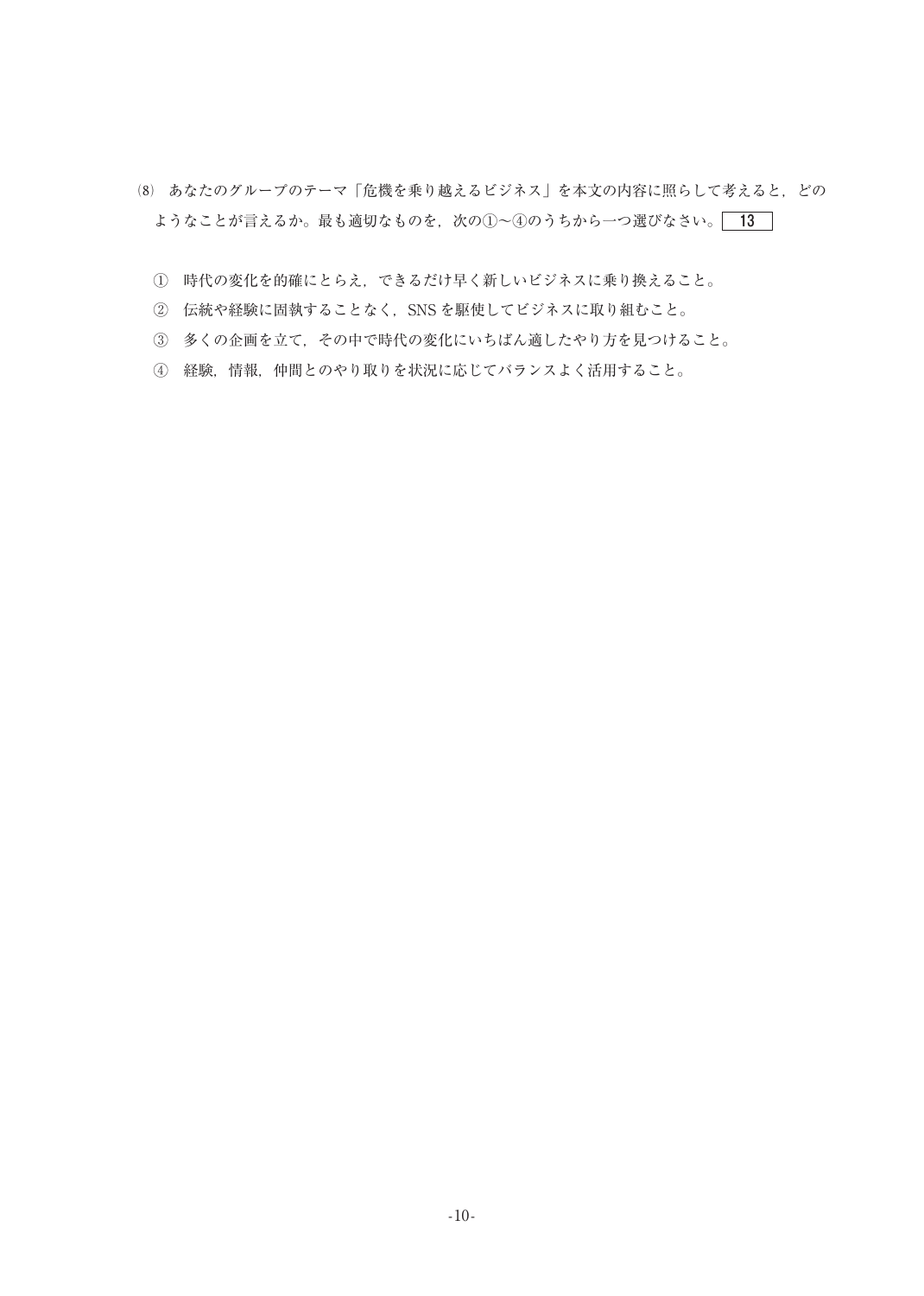- ⑻ あなたのグループのテーマ「危機を乗り越えるビジネス」を本文の内容に照らして考えると,どの ようなことが言えるか。最も適切なものを、次の①~4のうちから一つ選びなさい。 13
	- ① 時代の変化を的確にとらえ,できるだけ早く新しいビジネスに乗り換えること。
	- ② 伝統や経験に固執することなく,SNS を駆使してビジネスに取り組むこと。
	- ③ 多くの企画を立て,その中で時代の変化にいちばん適したやり方を見つけること。
	- ④ 経験,情報,仲間とのやり取りを状況に応じてバランスよく活用すること。